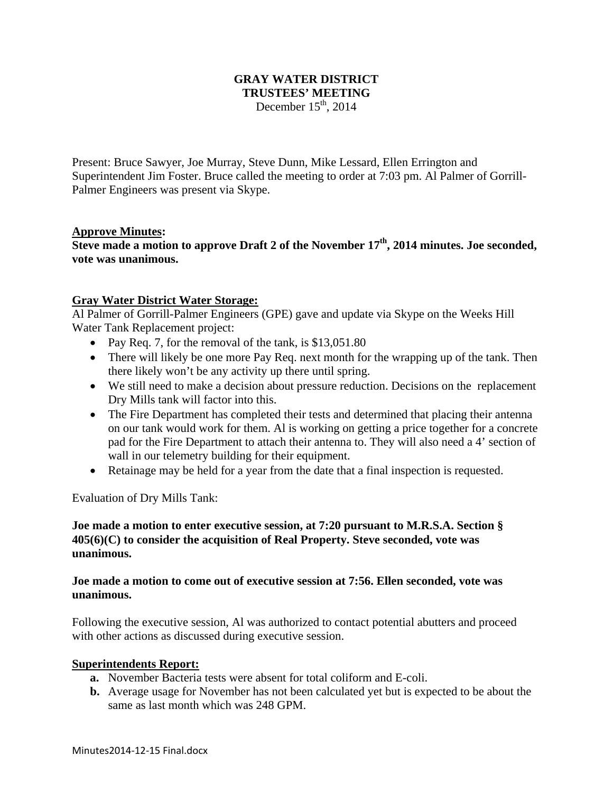### **GRAY WATER DISTRICT TRUSTEES' MEETING**  December  $15<sup>th</sup>$ , 2014

Present: Bruce Sawyer, Joe Murray, Steve Dunn, Mike Lessard, Ellen Errington and Superintendent Jim Foster. Bruce called the meeting to order at 7:03 pm. Al Palmer of Gorrill-Palmer Engineers was present via Skype.

### **Approve Minutes:**

**Steve made a motion to approve Draft 2 of the November 17<sup>th</sup>, 2014 minutes. Joe seconded, vote was unanimous.** 

# **Gray Water District Water Storage:**

Al Palmer of Gorrill-Palmer Engineers (GPE) gave and update via Skype on the Weeks Hill Water Tank Replacement project:

- Pay Req. 7, for the removal of the tank, is  $$13,051.80$
- There will likely be one more Pay Req. next month for the wrapping up of the tank. Then there likely won't be any activity up there until spring.
- We still need to make a decision about pressure reduction. Decisions on the replacement Dry Mills tank will factor into this.
- The Fire Department has completed their tests and determined that placing their antenna on our tank would work for them. Al is working on getting a price together for a concrete pad for the Fire Department to attach their antenna to. They will also need a 4' section of wall in our telemetry building for their equipment.
- Retainage may be held for a year from the date that a final inspection is requested.

Evaluation of Dry Mills Tank:

# **Joe made a motion to enter executive session, at 7:20 pursuant to M.R.S.A. Section § 405(6)(C) to consider the acquisition of Real Property. Steve seconded, vote was unanimous.**

### **Joe made a motion to come out of executive session at 7:56. Ellen seconded, vote was unanimous.**

Following the executive session, Al was authorized to contact potential abutters and proceed with other actions as discussed during executive session.

### **Superintendents Report:**

- **a.** November Bacteria tests were absent for total coliform and E-coli.
- **b.** Average usage for November has not been calculated yet but is expected to be about the same as last month which was 248 GPM.